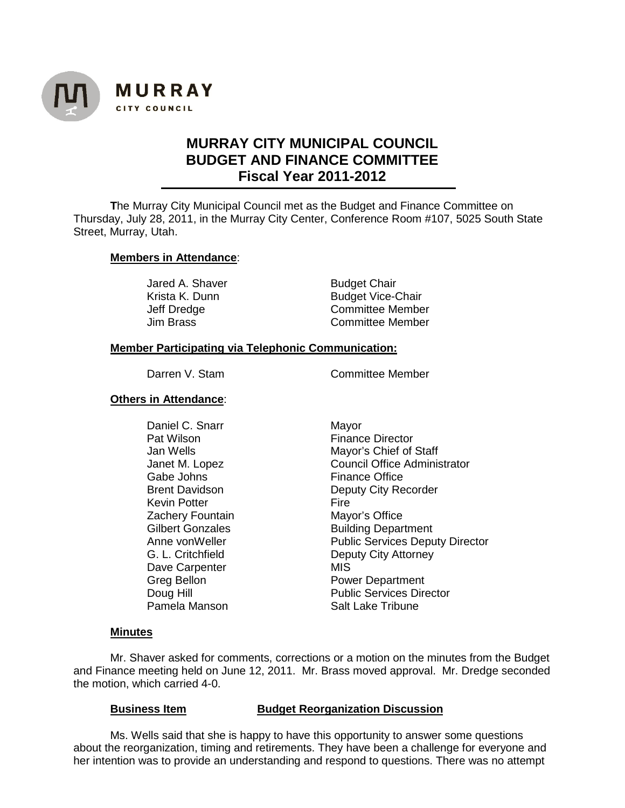

# **MURRAY CITY MUNICIPAL COUNCIL BUDGET AND FINANCE COMMITTEE Fiscal Year 2011-2012**

**T**he Murray City Municipal Council met as the Budget and Finance Committee on Thursday, July 28, 2011, in the Murray City Center, Conference Room #107, 5025 South State Street, Murray, Utah.

## **Members in Attendance**:

Jared A. Shaver **Budget Chair**<br>Krista K. Dunn **Budget Vice-**

Krista K. Dunn Budget Vice-Chair<br>
Jeff Dredge Committee Membe Jeff Dredge Committee Member<br>Jim Brass Committee Member Committee Member

# **Member Participating via Telephonic Communication:**

Darren V. Stam Committee Member

# **Others in Attendance**:

Daniel C. Snarr Mayor<br>Pat Wilson Manness Channel Britain Channel Gabe Johns Finance Office<br>Brent Davidson **Finance Office**<br>Deputy City Re Kevin Potter **Zachery Fountain**<br>
Gilbert Gonzales<br>
Gilbert Gonzales<br>
Consults Building Depart Dave Carpenter<br>Greg Bellon

Finance Director Jan Wells **Mayor's Chief of Staff** Janet M. Lopez Council Office Administrator Deputy City Recorder<br>Fire **Building Department** Anne von Weller **Public Services Deputy Director** G. L. Critchfield<br>
Deputy City Attorney<br>
Dave Carpenter

MIS Power Department Doug Hill<br>
Public Services Director<br>
Pamela Manson<br>
Pamela Manson<br>
Pamela Manson **Salt Lake Tribune** 

## **Minutes**

Mr. Shaver asked for comments, corrections or a motion on the minutes from the Budget and Finance meeting held on June 12, 2011. Mr. Brass moved approval. Mr. Dredge seconded the motion, which carried 4-0.

## **Business Item Budget Reorganization Discussion**

Ms. Wells said that she is happy to have this opportunity to answer some questions about the reorganization, timing and retirements. They have been a challenge for everyone and her intention was to provide an understanding and respond to questions. There was no attempt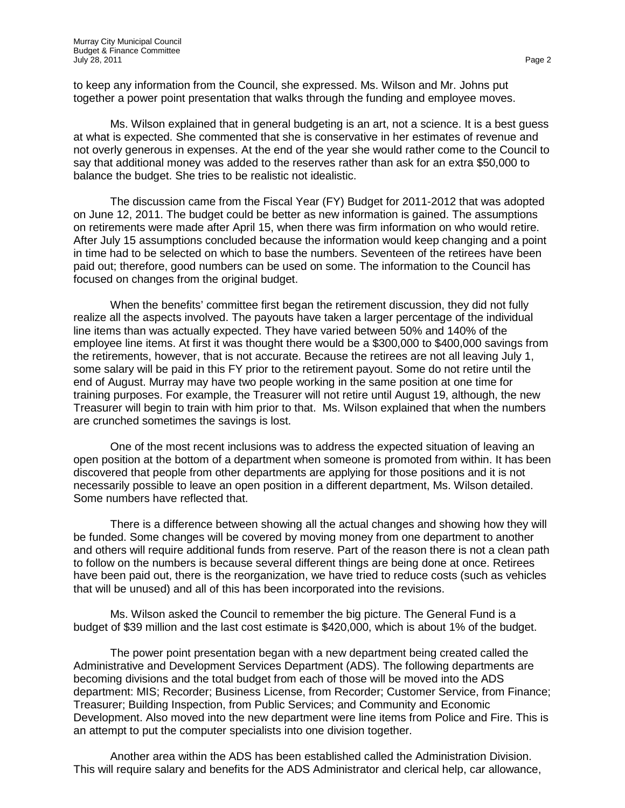to keep any information from the Council, she expressed. Ms. Wilson and Mr. Johns put together a power point presentation that walks through the funding and employee moves.

Ms. Wilson explained that in general budgeting is an art, not a science. It is a best guess at what is expected. She commented that she is conservative in her estimates of revenue and not overly generous in expenses. At the end of the year she would rather come to the Council to say that additional money was added to the reserves rather than ask for an extra \$50,000 to balance the budget. She tries to be realistic not idealistic.

The discussion came from the Fiscal Year (FY) Budget for 2011-2012 that was adopted on June 12, 2011. The budget could be better as new information is gained. The assumptions on retirements were made after April 15, when there was firm information on who would retire. After July 15 assumptions concluded because the information would keep changing and a point in time had to be selected on which to base the numbers. Seventeen of the retirees have been paid out; therefore, good numbers can be used on some. The information to the Council has focused on changes from the original budget.

When the benefits' committee first began the retirement discussion, they did not fully realize all the aspects involved. The payouts have taken a larger percentage of the individual line items than was actually expected. They have varied between 50% and 140% of the employee line items. At first it was thought there would be a \$300,000 to \$400,000 savings from the retirements, however, that is not accurate. Because the retirees are not all leaving July 1, some salary will be paid in this FY prior to the retirement payout. Some do not retire until the end of August. Murray may have two people working in the same position at one time for training purposes. For example, the Treasurer will not retire until August 19, although, the new Treasurer will begin to train with him prior to that. Ms. Wilson explained that when the numbers are crunched sometimes the savings is lost.

One of the most recent inclusions was to address the expected situation of leaving an open position at the bottom of a department when someone is promoted from within. It has been discovered that people from other departments are applying for those positions and it is not necessarily possible to leave an open position in a different department, Ms. Wilson detailed. Some numbers have reflected that.

There is a difference between showing all the actual changes and showing how they will be funded. Some changes will be covered by moving money from one department to another and others will require additional funds from reserve. Part of the reason there is not a clean path to follow on the numbers is because several different things are being done at once. Retirees have been paid out, there is the reorganization, we have tried to reduce costs (such as vehicles that will be unused) and all of this has been incorporated into the revisions.

Ms. Wilson asked the Council to remember the big picture. The General Fund is a budget of \$39 million and the last cost estimate is \$420,000, which is about 1% of the budget.

The power point presentation began with a new department being created called the Administrative and Development Services Department (ADS). The following departments are becoming divisions and the total budget from each of those will be moved into the ADS department: MIS; Recorder; Business License, from Recorder; Customer Service, from Finance; Treasurer; Building Inspection, from Public Services; and Community and Economic Development. Also moved into the new department were line items from Police and Fire. This is an attempt to put the computer specialists into one division together.

Another area within the ADS has been established called the Administration Division. This will require salary and benefits for the ADS Administrator and clerical help, car allowance,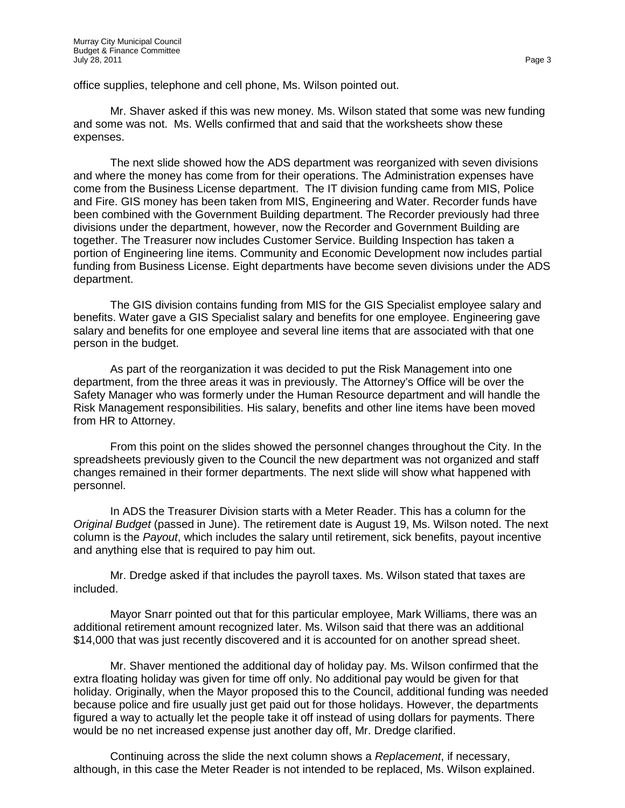office supplies, telephone and cell phone, Ms. Wilson pointed out.

Mr. Shaver asked if this was new money. Ms. Wilson stated that some was new funding and some was not. Ms. Wells confirmed that and said that the worksheets show these expenses.

The next slide showed how the ADS department was reorganized with seven divisions and where the money has come from for their operations. The Administration expenses have come from the Business License department. The IT division funding came from MIS, Police and Fire. GIS money has been taken from MIS, Engineering and Water. Recorder funds have been combined with the Government Building department. The Recorder previously had three divisions under the department, however, now the Recorder and Government Building are together. The Treasurer now includes Customer Service. Building Inspection has taken a portion of Engineering line items. Community and Economic Development now includes partial funding from Business License. Eight departments have become seven divisions under the ADS department.

The GIS division contains funding from MIS for the GIS Specialist employee salary and benefits. Water gave a GIS Specialist salary and benefits for one employee. Engineering gave salary and benefits for one employee and several line items that are associated with that one person in the budget.

As part of the reorganization it was decided to put the Risk Management into one department, from the three areas it was in previously. The Attorney's Office will be over the Safety Manager who was formerly under the Human Resource department and will handle the Risk Management responsibilities. His salary, benefits and other line items have been moved from HR to Attorney.

From this point on the slides showed the personnel changes throughout the City. In the spreadsheets previously given to the Council the new department was not organized and staff changes remained in their former departments. The next slide will show what happened with personnel.

In ADS the Treasurer Division starts with a Meter Reader. This has a column for the *Original Budget* (passed in June). The retirement date is August 19, Ms. Wilson noted. The next column is the *Payout*, which includes the salary until retirement, sick benefits, payout incentive and anything else that is required to pay him out.

Mr. Dredge asked if that includes the payroll taxes. Ms. Wilson stated that taxes are included.

Mayor Snarr pointed out that for this particular employee, Mark Williams, there was an additional retirement amount recognized later. Ms. Wilson said that there was an additional \$14,000 that was just recently discovered and it is accounted for on another spread sheet.

Mr. Shaver mentioned the additional day of holiday pay. Ms. Wilson confirmed that the extra floating holiday was given for time off only. No additional pay would be given for that holiday. Originally, when the Mayor proposed this to the Council, additional funding was needed because police and fire usually just get paid out for those holidays. However, the departments figured a way to actually let the people take it off instead of using dollars for payments. There would be no net increased expense just another day off, Mr. Dredge clarified.

Continuing across the slide the next column shows a *Replacement*, if necessary, although, in this case the Meter Reader is not intended to be replaced, Ms. Wilson explained.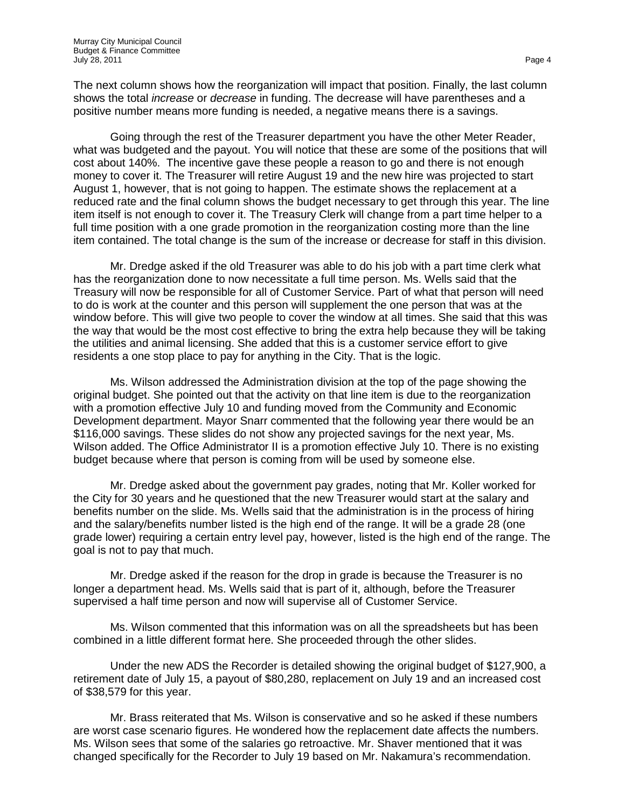The next column shows how the reorganization will impact that position. Finally, the last column shows the total *increase* or *decrease* in funding. The decrease will have parentheses and a positive number means more funding is needed, a negative means there is a savings.

Going through the rest of the Treasurer department you have the other Meter Reader, what was budgeted and the payout. You will notice that these are some of the positions that will cost about 140%. The incentive gave these people a reason to go and there is not enough money to cover it. The Treasurer will retire August 19 and the new hire was projected to start August 1, however, that is not going to happen. The estimate shows the replacement at a reduced rate and the final column shows the budget necessary to get through this year. The line item itself is not enough to cover it. The Treasury Clerk will change from a part time helper to a full time position with a one grade promotion in the reorganization costing more than the line item contained. The total change is the sum of the increase or decrease for staff in this division.

Mr. Dredge asked if the old Treasurer was able to do his job with a part time clerk what has the reorganization done to now necessitate a full time person. Ms. Wells said that the Treasury will now be responsible for all of Customer Service. Part of what that person will need to do is work at the counter and this person will supplement the one person that was at the window before. This will give two people to cover the window at all times. She said that this was the way that would be the most cost effective to bring the extra help because they will be taking the utilities and animal licensing. She added that this is a customer service effort to give residents a one stop place to pay for anything in the City. That is the logic.

Ms. Wilson addressed the Administration division at the top of the page showing the original budget. She pointed out that the activity on that line item is due to the reorganization with a promotion effective July 10 and funding moved from the Community and Economic Development department. Mayor Snarr commented that the following year there would be an \$116,000 savings. These slides do not show any projected savings for the next year, Ms. Wilson added. The Office Administrator II is a promotion effective July 10. There is no existing budget because where that person is coming from will be used by someone else.

Mr. Dredge asked about the government pay grades, noting that Mr. Koller worked for the City for 30 years and he questioned that the new Treasurer would start at the salary and benefits number on the slide. Ms. Wells said that the administration is in the process of hiring and the salary/benefits number listed is the high end of the range. It will be a grade 28 (one grade lower) requiring a certain entry level pay, however, listed is the high end of the range. The goal is not to pay that much.

Mr. Dredge asked if the reason for the drop in grade is because the Treasurer is no longer a department head. Ms. Wells said that is part of it, although, before the Treasurer supervised a half time person and now will supervise all of Customer Service.

Ms. Wilson commented that this information was on all the spreadsheets but has been combined in a little different format here. She proceeded through the other slides.

Under the new ADS the Recorder is detailed showing the original budget of \$127,900, a retirement date of July 15, a payout of \$80,280, replacement on July 19 and an increased cost of \$38,579 for this year.

Mr. Brass reiterated that Ms. Wilson is conservative and so he asked if these numbers are worst case scenario figures. He wondered how the replacement date affects the numbers. Ms. Wilson sees that some of the salaries go retroactive. Mr. Shaver mentioned that it was changed specifically for the Recorder to July 19 based on Mr. Nakamura's recommendation.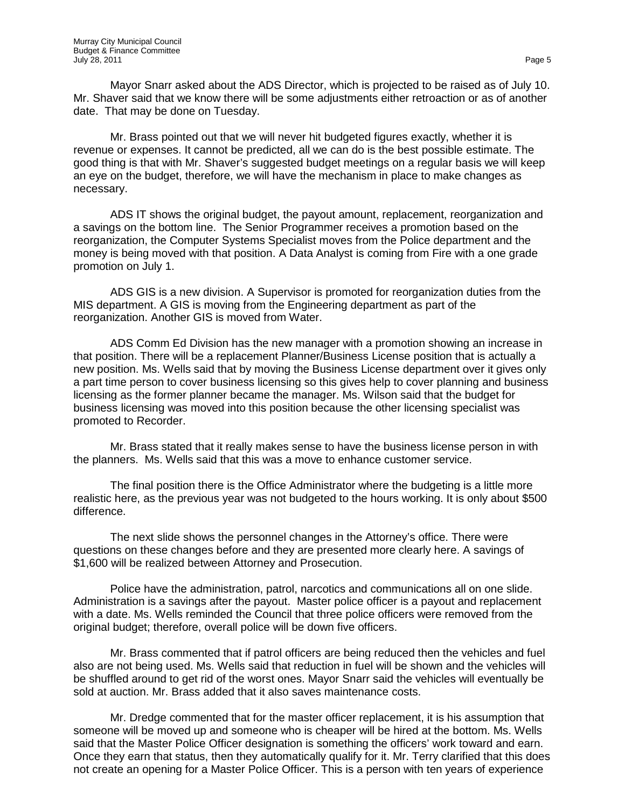Mayor Snarr asked about the ADS Director, which is projected to be raised as of July 10. Mr. Shaver said that we know there will be some adjustments either retroaction or as of another date. That may be done on Tuesday.

Mr. Brass pointed out that we will never hit budgeted figures exactly, whether it is revenue or expenses. It cannot be predicted, all we can do is the best possible estimate. The good thing is that with Mr. Shaver's suggested budget meetings on a regular basis we will keep an eye on the budget, therefore, we will have the mechanism in place to make changes as necessary.

ADS IT shows the original budget, the payout amount, replacement, reorganization and a savings on the bottom line. The Senior Programmer receives a promotion based on the reorganization, the Computer Systems Specialist moves from the Police department and the money is being moved with that position. A Data Analyst is coming from Fire with a one grade promotion on July 1.

ADS GIS is a new division. A Supervisor is promoted for reorganization duties from the MIS department. A GIS is moving from the Engineering department as part of the reorganization. Another GIS is moved from Water.

ADS Comm Ed Division has the new manager with a promotion showing an increase in that position. There will be a replacement Planner/Business License position that is actually a new position. Ms. Wells said that by moving the Business License department over it gives only a part time person to cover business licensing so this gives help to cover planning and business licensing as the former planner became the manager. Ms. Wilson said that the budget for business licensing was moved into this position because the other licensing specialist was promoted to Recorder.

Mr. Brass stated that it really makes sense to have the business license person in with the planners. Ms. Wells said that this was a move to enhance customer service.

The final position there is the Office Administrator where the budgeting is a little more realistic here, as the previous year was not budgeted to the hours working. It is only about \$500 difference.

The next slide shows the personnel changes in the Attorney's office. There were questions on these changes before and they are presented more clearly here. A savings of \$1,600 will be realized between Attorney and Prosecution.

Police have the administration, patrol, narcotics and communications all on one slide. Administration is a savings after the payout. Master police officer is a payout and replacement with a date. Ms. Wells reminded the Council that three police officers were removed from the original budget; therefore, overall police will be down five officers.

Mr. Brass commented that if patrol officers are being reduced then the vehicles and fuel also are not being used. Ms. Wells said that reduction in fuel will be shown and the vehicles will be shuffled around to get rid of the worst ones. Mayor Snarr said the vehicles will eventually be sold at auction. Mr. Brass added that it also saves maintenance costs.

Mr. Dredge commented that for the master officer replacement, it is his assumption that someone will be moved up and someone who is cheaper will be hired at the bottom. Ms. Wells said that the Master Police Officer designation is something the officers' work toward and earn. Once they earn that status, then they automatically qualify for it. Mr. Terry clarified that this does not create an opening for a Master Police Officer. This is a person with ten years of experience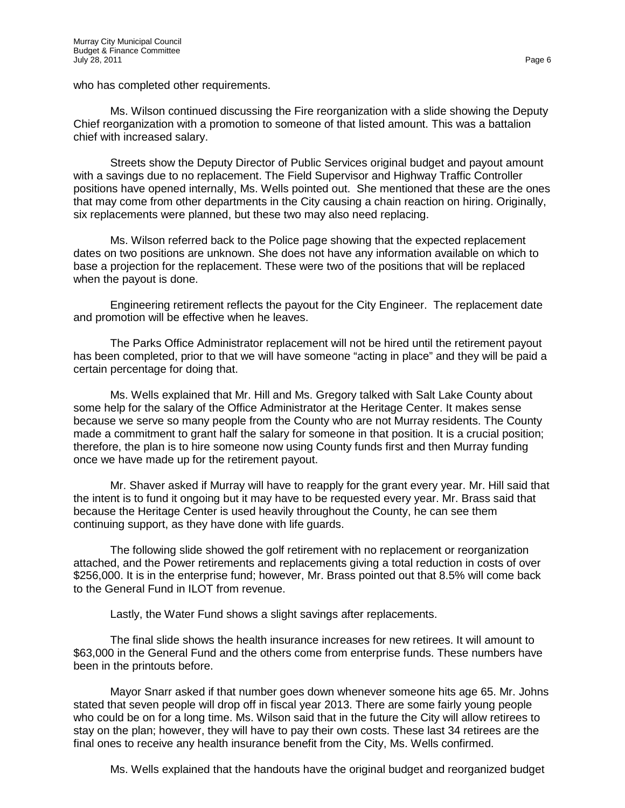who has completed other requirements.

Ms. Wilson continued discussing the Fire reorganization with a slide showing the Deputy Chief reorganization with a promotion to someone of that listed amount. This was a battalion chief with increased salary.

Streets show the Deputy Director of Public Services original budget and payout amount with a savings due to no replacement. The Field Supervisor and Highway Traffic Controller positions have opened internally, Ms. Wells pointed out. She mentioned that these are the ones that may come from other departments in the City causing a chain reaction on hiring. Originally, six replacements were planned, but these two may also need replacing.

Ms. Wilson referred back to the Police page showing that the expected replacement dates on two positions are unknown. She does not have any information available on which to base a projection for the replacement. These were two of the positions that will be replaced when the payout is done.

Engineering retirement reflects the payout for the City Engineer. The replacement date and promotion will be effective when he leaves.

The Parks Office Administrator replacement will not be hired until the retirement payout has been completed, prior to that we will have someone "acting in place" and they will be paid a certain percentage for doing that.

Ms. Wells explained that Mr. Hill and Ms. Gregory talked with Salt Lake County about some help for the salary of the Office Administrator at the Heritage Center. It makes sense because we serve so many people from the County who are not Murray residents. The County made a commitment to grant half the salary for someone in that position. It is a crucial position; therefore, the plan is to hire someone now using County funds first and then Murray funding once we have made up for the retirement payout.

Mr. Shaver asked if Murray will have to reapply for the grant every year. Mr. Hill said that the intent is to fund it ongoing but it may have to be requested every year. Mr. Brass said that because the Heritage Center is used heavily throughout the County, he can see them continuing support, as they have done with life guards.

The following slide showed the golf retirement with no replacement or reorganization attached, and the Power retirements and replacements giving a total reduction in costs of over \$256,000. It is in the enterprise fund; however, Mr. Brass pointed out that 8.5% will come back to the General Fund in ILOT from revenue.

Lastly, the Water Fund shows a slight savings after replacements.

The final slide shows the health insurance increases for new retirees. It will amount to \$63,000 in the General Fund and the others come from enterprise funds. These numbers have been in the printouts before.

Mayor Snarr asked if that number goes down whenever someone hits age 65. Mr. Johns stated that seven people will drop off in fiscal year 2013. There are some fairly young people who could be on for a long time. Ms. Wilson said that in the future the City will allow retirees to stay on the plan; however, they will have to pay their own costs. These last 34 retirees are the final ones to receive any health insurance benefit from the City, Ms. Wells confirmed.

Ms. Wells explained that the handouts have the original budget and reorganized budget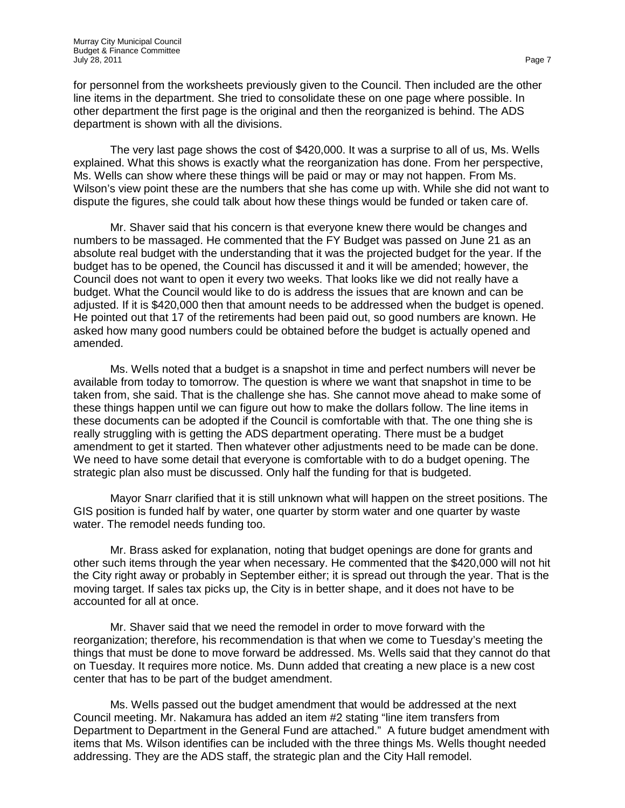for personnel from the worksheets previously given to the Council. Then included are the other line items in the department. She tried to consolidate these on one page where possible. In other department the first page is the original and then the reorganized is behind. The ADS department is shown with all the divisions.

The very last page shows the cost of \$420,000. It was a surprise to all of us, Ms. Wells explained. What this shows is exactly what the reorganization has done. From her perspective, Ms. Wells can show where these things will be paid or may or may not happen. From Ms. Wilson's view point these are the numbers that she has come up with. While she did not want to dispute the figures, she could talk about how these things would be funded or taken care of.

Mr. Shaver said that his concern is that everyone knew there would be changes and numbers to be massaged. He commented that the FY Budget was passed on June 21 as an absolute real budget with the understanding that it was the projected budget for the year. If the budget has to be opened, the Council has discussed it and it will be amended; however, the Council does not want to open it every two weeks. That looks like we did not really have a budget. What the Council would like to do is address the issues that are known and can be adjusted. If it is \$420,000 then that amount needs to be addressed when the budget is opened. He pointed out that 17 of the retirements had been paid out, so good numbers are known. He asked how many good numbers could be obtained before the budget is actually opened and amended.

Ms. Wells noted that a budget is a snapshot in time and perfect numbers will never be available from today to tomorrow. The question is where we want that snapshot in time to be taken from, she said. That is the challenge she has. She cannot move ahead to make some of these things happen until we can figure out how to make the dollars follow. The line items in these documents can be adopted if the Council is comfortable with that. The one thing she is really struggling with is getting the ADS department operating. There must be a budget amendment to get it started. Then whatever other adjustments need to be made can be done. We need to have some detail that everyone is comfortable with to do a budget opening. The strategic plan also must be discussed. Only half the funding for that is budgeted.

Mayor Snarr clarified that it is still unknown what will happen on the street positions. The GIS position is funded half by water, one quarter by storm water and one quarter by waste water. The remodel needs funding too.

Mr. Brass asked for explanation, noting that budget openings are done for grants and other such items through the year when necessary. He commented that the \$420,000 will not hit the City right away or probably in September either; it is spread out through the year. That is the moving target. If sales tax picks up, the City is in better shape, and it does not have to be accounted for all at once.

Mr. Shaver said that we need the remodel in order to move forward with the reorganization; therefore, his recommendation is that when we come to Tuesday's meeting the things that must be done to move forward be addressed. Ms. Wells said that they cannot do that on Tuesday. It requires more notice. Ms. Dunn added that creating a new place is a new cost center that has to be part of the budget amendment.

Ms. Wells passed out the budget amendment that would be addressed at the next Council meeting. Mr. Nakamura has added an item #2 stating "line item transfers from Department to Department in the General Fund are attached." A future budget amendment with items that Ms. Wilson identifies can be included with the three things Ms. Wells thought needed addressing. They are the ADS staff, the strategic plan and the City Hall remodel.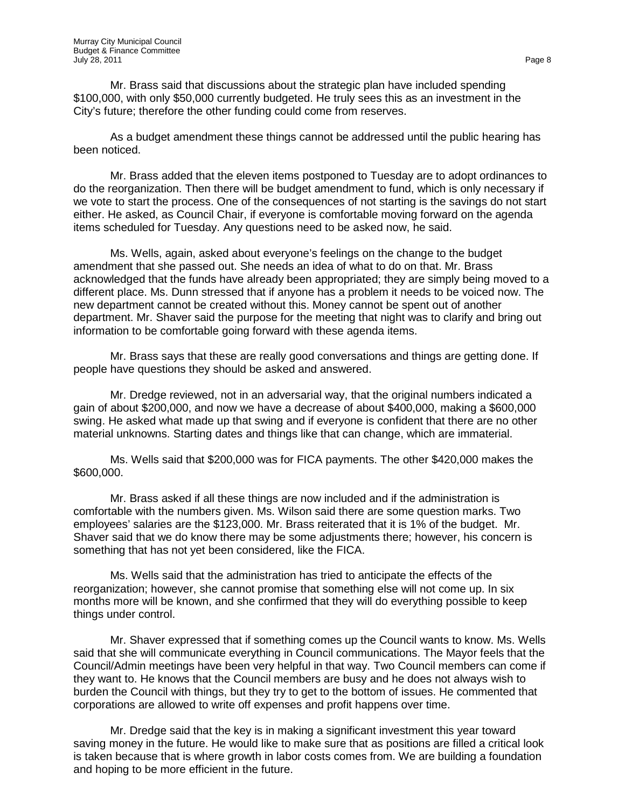Mr. Brass said that discussions about the strategic plan have included spending \$100,000, with only \$50,000 currently budgeted. He truly sees this as an investment in the City's future; therefore the other funding could come from reserves.

As a budget amendment these things cannot be addressed until the public hearing has been noticed.

Mr. Brass added that the eleven items postponed to Tuesday are to adopt ordinances to do the reorganization. Then there will be budget amendment to fund, which is only necessary if we vote to start the process. One of the consequences of not starting is the savings do not start either. He asked, as Council Chair, if everyone is comfortable moving forward on the agenda items scheduled for Tuesday. Any questions need to be asked now, he said.

Ms. Wells, again, asked about everyone's feelings on the change to the budget amendment that she passed out. She needs an idea of what to do on that. Mr. Brass acknowledged that the funds have already been appropriated; they are simply being moved to a different place. Ms. Dunn stressed that if anyone has a problem it needs to be voiced now. The new department cannot be created without this. Money cannot be spent out of another department. Mr. Shaver said the purpose for the meeting that night was to clarify and bring out information to be comfortable going forward with these agenda items.

Mr. Brass says that these are really good conversations and things are getting done. If people have questions they should be asked and answered.

Mr. Dredge reviewed, not in an adversarial way, that the original numbers indicated a gain of about \$200,000, and now we have a decrease of about \$400,000, making a \$600,000 swing. He asked what made up that swing and if everyone is confident that there are no other material unknowns. Starting dates and things like that can change, which are immaterial.

Ms. Wells said that \$200,000 was for FICA payments. The other \$420,000 makes the \$600,000.

Mr. Brass asked if all these things are now included and if the administration is comfortable with the numbers given. Ms. Wilson said there are some question marks. Two employees' salaries are the \$123,000. Mr. Brass reiterated that it is 1% of the budget. Mr. Shaver said that we do know there may be some adjustments there; however, his concern is something that has not yet been considered, like the FICA.

Ms. Wells said that the administration has tried to anticipate the effects of the reorganization; however, she cannot promise that something else will not come up. In six months more will be known, and she confirmed that they will do everything possible to keep things under control.

Mr. Shaver expressed that if something comes up the Council wants to know. Ms. Wells said that she will communicate everything in Council communications. The Mayor feels that the Council/Admin meetings have been very helpful in that way. Two Council members can come if they want to. He knows that the Council members are busy and he does not always wish to burden the Council with things, but they try to get to the bottom of issues. He commented that corporations are allowed to write off expenses and profit happens over time.

Mr. Dredge said that the key is in making a significant investment this year toward saving money in the future. He would like to make sure that as positions are filled a critical look is taken because that is where growth in labor costs comes from. We are building a foundation and hoping to be more efficient in the future.